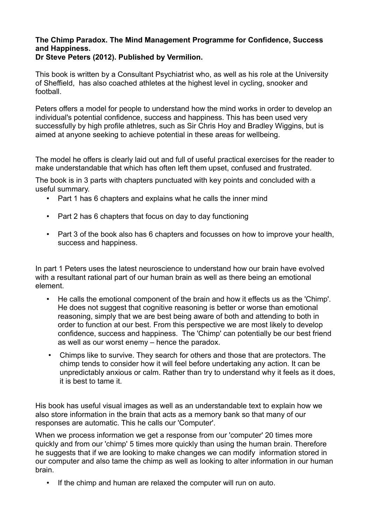## **The Chimp Paradox. The Mind Management Programme for Confidence, Success and Happiness. Dr Steve Peters (2012). Published by Vermilion.**

This book is written by a Consultant Psychiatrist who, as well as his role at the University of Sheffield, has also coached athletes at the highest level in cycling, snooker and football.

Peters offers a model for people to understand how the mind works in order to develop an individual's potential confidence, success and happiness. This has been used very successfully by high profile athletres, such as Sir Chris Hoy and Bradley Wiggins, but is aimed at anyone seeking to achieve potential in these areas for wellbeing.

The model he offers is clearly laid out and full of useful practical exercises for the reader to make understandable that which has often left them upset, confused and frustrated.

The book is in 3 parts with chapters punctuated with key points and concluded with a useful summary.

- Part 1 has 6 chapters and explains what he calls the inner mind
- Part 2 has 6 chapters that focus on day to day functioning
- Part 3 of the book also has 6 chapters and focusses on how to improve your health, success and happiness.

In part 1 Peters uses the latest neuroscience to understand how our brain have evolved with a resultant rational part of our human brain as well as there being an emotional element.

- He calls the emotional component of the brain and how it effects us as the 'Chimp'. He does not suggest that cognitive reasoning is better or worse than emotional reasoning, simply that we are best being aware of both and attending to both in order to function at our best. From this perspective we are most likely to develop confidence, success and happiness. The 'Chimp' can potentially be our best friend as well as our worst enemy – hence the paradox.
- Chimps like to survive. They search for others and those that are protectors. The chimp tends to consider how it will feel before undertaking any action. It can be unpredictably anxious or calm. Rather than try to understand why it feels as it does, it is best to tame it.

His book has useful visual images as well as an understandable text to explain how we also store information in the brain that acts as a memory bank so that many of our responses are automatic. This he calls our 'Computer'.

When we process information we get a response from our 'computer' 20 times more quickly and from our 'chimp' 5 times more quickly than using the human brain. Therefore he suggests that if we are looking to make changes we can modify information stored in our computer and also tame the chimp as well as looking to alter information in our human brain.

• If the chimp and human are relaxed the computer will run on auto.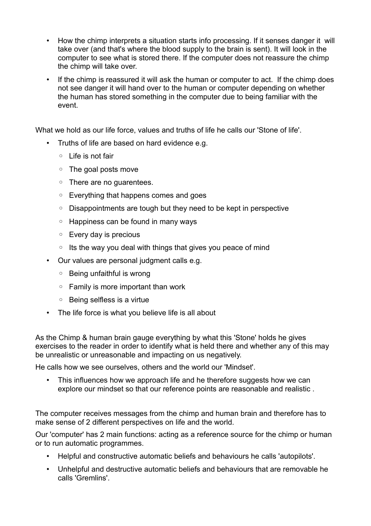- How the chimp interprets a situation starts info processing. If it senses danger it will take over (and that's where the blood supply to the brain is sent). It will look in the computer to see what is stored there. If the computer does not reassure the chimp the chimp will take over.
- If the chimp is reassured it will ask the human or computer to act. If the chimp does not see danger it will hand over to the human or computer depending on whether the human has stored something in the computer due to being familiar with the event.

What we hold as our life force, values and truths of life he calls our 'Stone of life'.

- Truths of life are based on hard evidence e.g.
	- Life is not fair
	- The goal posts move
	- There are no guarentees.
	- Everything that happens comes and goes
	- Disappointments are tough but they need to be kept in perspective
	- Happiness can be found in many ways
	- Every day is precious
	- Its the way you deal with things that gives you peace of mind
- Our values are personal judgment calls e.g.
	- Being unfaithful is wrong
	- Family is more important than work
	- Being selfless is a virtue
- The life force is what you believe life is all about

As the Chimp & human brain gauge everything by what this 'Stone' holds he gives exercises to the reader in order to identify what is held there and whether any of this may be unrealistic or unreasonable and impacting on us negatively.

He calls how we see ourselves, others and the world our 'Mindset'.

• This influences how we approach life and he therefore suggests how we can explore our mindset so that our reference points are reasonable and realistic .

The computer receives messages from the chimp and human brain and therefore has to make sense of 2 different perspectives on life and the world.

Our 'computer' has 2 main functions: acting as a reference source for the chimp or human or to run automatic programmes.

- Helpful and constructive automatic beliefs and behaviours he calls 'autopilots'.
- Unhelpful and destructive automatic beliefs and behaviours that are removable he calls 'Gremlins'.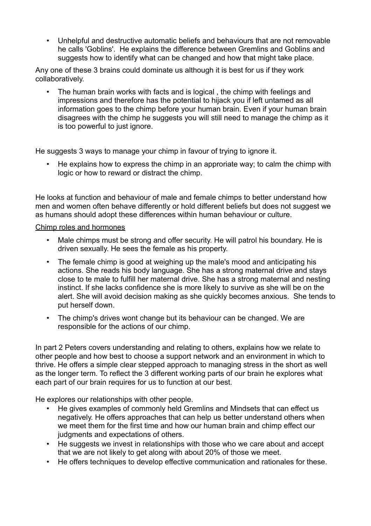• Unhelpful and destructive automatic beliefs and behaviours that are not removable he calls 'Goblins'. He explains the difference between Gremlins and Goblins and suggests how to identify what can be changed and how that might take place.

Any one of these 3 brains could dominate us although it is best for us if they work collaboratively.

• The human brain works with facts and is logical , the chimp with feelings and impressions and therefore has the potential to hijack you if left untamed as all information goes to the chimp before your human brain. Even if your human brain disagrees with the chimp he suggests you will still need to manage the chimp as it is too powerful to just ignore.

He suggests 3 ways to manage your chimp in favour of trying to ignore it.

• He explains how to express the chimp in an approriate way; to calm the chimp with logic or how to reward or distract the chimp.

He looks at function and behaviour of male and female chimps to better understand how men and women often behave differently or hold different beliefs but does not suggest we as humans should adopt these differences within human behaviour or culture.

## Chimp roles and hormones

- Male chimps must be strong and offer security. He will patrol his boundary. He is driven sexually. He sees the female as his property.
- The female chimp is good at weighing up the male's mood and anticipating his actions. She reads his body language. She has a strong maternal drive and stays close to te male to fulfill her maternal drive. She has a strong maternal and nesting instinct. If she lacks confidence she is more likely to survive as she will be on the alert. She will avoid decision making as she quickly becomes anxious. She tends to put herself down.
- The chimp's drives wont change but its behaviour can be changed. We are responsible for the actions of our chimp.

In part 2 Peters covers understanding and relating to others, explains how we relate to other people and how best to choose a support network and an environment in which to thrive. He offers a simple clear stepped approach to managing stress in the short as well as the longer term. To reflect the 3 different working parts of our brain he explores what each part of our brain requires for us to function at our best.

He explores our relationships with other people.

- He gives examples of commonly held Gremlins and Mindsets that can effect us negatively. He offers approaches that can help us better understand others when we meet them for the first time and how our human brain and chimp effect our judgments and expectations of others.
- He suggests we invest in relationships with those who we care about and accept that we are not likely to get along with about 20% of those we meet.
- He offers techniques to develop effective communication and rationales for these.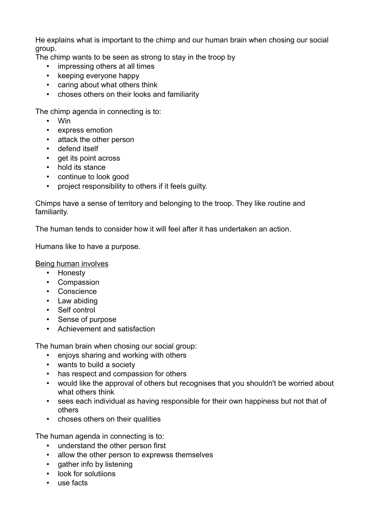He explains what is important to the chimp and our human brain when chosing our social group.

The chimp wants to be seen as strong to stay in the troop by

- impressing others at all times
- keeping everyone happy
- caring about what others think
- choses others on their looks and familiarity

The chimp agenda in connecting is to:

- Win
- express emotion
- attack the other person
- defend itself
- get its point across
- hold its stance
- continue to look good
- project responsibility to others if it feels guilty.

Chimps have a sense of territory and belonging to the troop. They like routine and familiarity.

The human tends to consider how it will feel after it has undertaken an action.

Humans like to have a purpose.

Being human involves

- Honesty
- Compassion
- Conscience
- Law abiding
- Self control
- Sense of purpose
- Achievement and satisfaction

The human brain when chosing our social group:

- enjoys sharing and working with others
- wants to build a society
- has respect and compassion for others
- would like the approval of others but recognises that you shouldn't be worried about what others think
- sees each individual as having responsible for their own happiness but not that of others
- choses others on their qualities

The human agenda in connecting is to:

- understand the other person first
- allow the other person to exprewss themselves
- gather info by listening
- look for solutiions
- use facts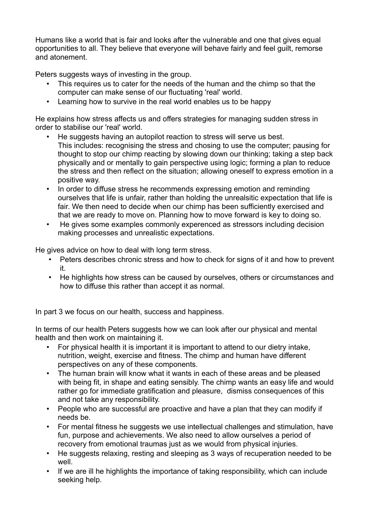Humans like a world that is fair and looks after the vulnerable and one that gives equal opportunities to all. They believe that everyone will behave fairly and feel guilt, remorse and atonement.

Peters suggests ways of investing in the group.

- This requires us to cater for the needs of the human and the chimp so that the computer can make sense of our fluctuating 'real' world.
- Learning how to survive in the real world enables us to be happy

He explains how stress affects us and offers strategies for managing sudden stress in order to stabilise our 'real' world.

- He suggests having an autopilot reaction to stress will serve us best. This includes: recognising the stress and chosing to use the computer; pausing for thought to stop our chimp reacting by slowing down our thinking; taking a step back physically and or mentally to gain perspective using logic; forming a plan to reduce the stress and then reflect on the situation; allowing oneself to express emotion in a positive way.
- In order to diffuse stress he recommends expressing emotion and reminding ourselves that life is unfair, rather than holding the unrealsitic expectation that life is fair. We then need to decide when our chimp has been sufficiently exercised and that we are ready to move on. Planning how to move forward is key to doing so.
- He gives some examples commonly experenced as stressors including decision making processes and unrealistic expectations.

He gives advice on how to deal with long term stress.

- Peters describes chronic stress and how to check for signs of it and how to prevent it.
- He highlights how stress can be caused by ourselves, others or circumstances and how to diffuse this rather than accept it as normal.

In part 3 we focus on our health, success and happiness.

In terms of our health Peters suggests how we can look after our physical and mental health and then work on maintaining it.

- For physical health it is important it is important to attend to our dietry intake, nutrition, weight, exercise and fitness. The chimp and human have different perspectives on any of these components.
- The human brain will know what it wants in each of these areas and be pleased with being fit, in shape and eating sensibly. The chimp wants an easy life and would rather go for immediate gratification and pleasure, dismiss consequences of this and not take any responsibility.
- People who are successful are proactive and have a plan that they can modify if needs be.
- For mental fitness he suggests we use intellectual challenges and stimulation, have fun, purpose and achievements. We also need to allow ourselves a period of recovery from emotional traumas just as we would from physical injuries.
- He suggests relaxing, resting and sleeping as 3 ways of recuperation needed to be well
- If we are ill he highlights the importance of taking responsibility, which can include seeking help.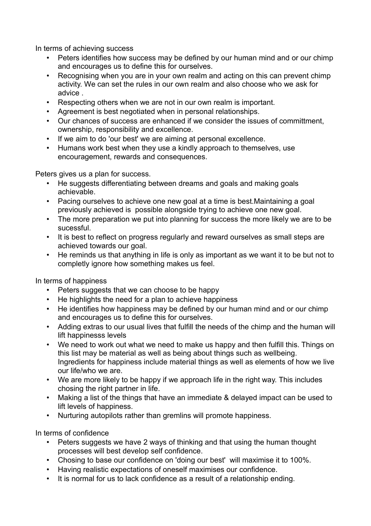In terms of achieving success

- Peters identifies how success may be defined by our human mind and or our chimp and encourages us to define this for ourselves.
- Recognising when you are in your own realm and acting on this can prevent chimp activity. We can set the rules in our own realm and also choose who we ask for advice .
- Respecting others when we are not in our own realm is important.
- Agreement is best negotiated when in personal relationships.
- Our chances of success are enhanced if we consider the issues of committment, ownership, responsibility and excellence.
- If we aim to do 'our best' we are aiming at personal excellence.
- Humans work best when they use a kindly approach to themselves, use encouragement, rewards and consequences.

Peters gives us a plan for success.

- He suggests differentiating between dreams and goals and making goals achievable.
- Pacing ourselves to achieve one new goal at a time is best.Maintaining a goal previously achieved is possible alongside trying to achieve one new goal.
- The more preparation we put into planning for success the more likely we are to be sucessful.
- It is best to reflect on progress regularly and reward ourselves as small steps are achieved towards our goal.
- He reminds us that anything in life is only as important as we want it to be but not to completly ignore how something makes us feel.

In terms of happiness

- Peters suggests that we can choose to be happy
- He highlights the need for a plan to achieve happiness
- He identifies how happiness may be defined by our human mind and or our chimp and encourages us to define this for ourselves.
- Adding extras to our usual lives that fulfill the needs of the chimp and the human will lift happinesss levels
- We need to work out what we need to make us happy and then fulfill this. Things on this list may be material as well as being about things such as wellbeing. Ingredients for happiness include material things as well as elements of how we live our life/who we are.
- We are more likely to be happy if we approach life in the right way. This includes chosing the right partner in life.
- Making a list of the things that have an immediate & delayed impact can be used to lift levels of happiness.
- Nurturing autopilots rather than gremlins will promote happiness.

In terms of confidence

- Peters suggests we have 2 ways of thinking and that using the human thought processes will best develop self confidence.
- Chosing to base our confidence on 'doing our best' will maximise it to 100%.
- Having realistic expectations of oneself maximises our confidence.
- It is normal for us to lack confidence as a result of a relationship ending.